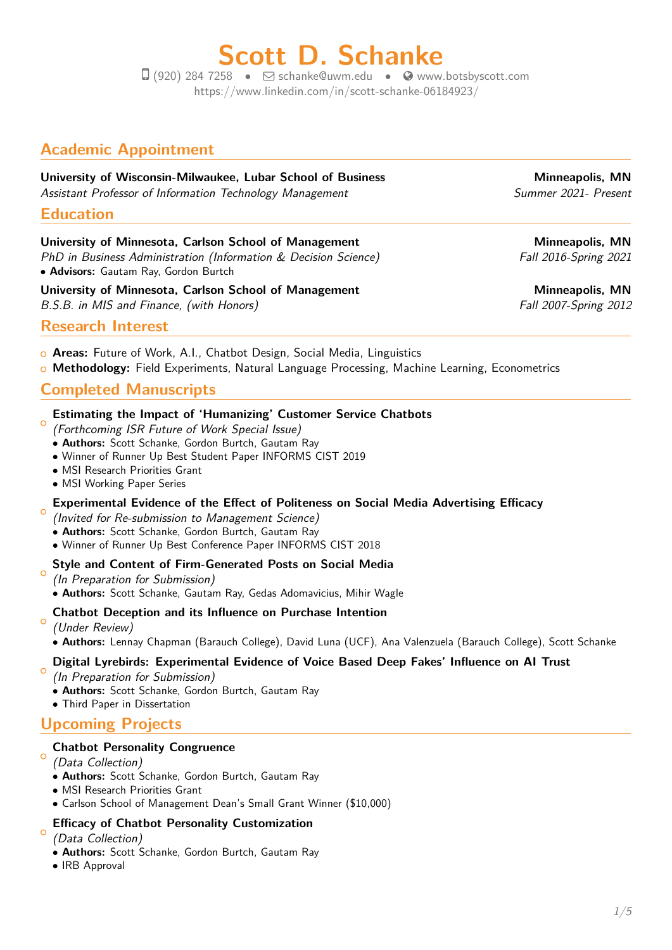# **Scott D. Schanke**

 $\Box$  (920) 284 7258 •  $\Box$  [schanke@uwm.edu](mailto:schanke@uwm.edu) •  $\odot$  [www.botsbyscott.com](http://www.botsbyscott.com) https://www.linkedin.com/in/scott-schanke-06184923/

# **Academic Appointment**

## **University of Wisconsin-Milwaukee, Lubar School of Business The Minneapolis, MN** Assistant Professor of Information Technology Management Summer 2021- Present

**Education**

# **University of Minnesota, Carlson School of Management Minneapolis, MN**

PhD in Business Administration (Information & Decision Science) Fall 2016-Spring 2021 • **Advisors:** Gautam Ray, Gordon Burtch

**University of Minnesota, Carlson School of Management Minneapolis, MN** B.S.B. in MIS and Finance, (with Honors) Fall 2007-Spring 2012

# **Research Interest**

- <sup>+</sup> **Areas:** Future of Work, A.I., Chatbot Design, Social Media, Linguistics
- **o Methodology:** Field Experiments, Natural Language Processing, Machine Learning, Econometrics

# **Completed Manuscripts**

#### $\circ$ **Estimating the Impact of 'Humanizing' Customer Service Chatbots**

- (Forthcoming ISR Future of Work Special Issue)
- **Authors:** Scott Schanke, Gordon Burtch, Gautam Ray
- Winner of Runner Up Best Student Paper INFORMS CIST 2019
- MSI Research Priorities Grant
- MSI Working Paper Series

#### $\circ$ **Experimental Evidence of the Effect of Politeness on Social Media Advertising Efficacy**

(Invited for Re-submission to Management Science)

- **Authors:** Scott Schanke, Gordon Burtch, Gautam Ray
- Winner of Runner Up Best Conference Paper INFORMS CIST 2018

# **Style and Content of Firm-Generated Posts on Social Media**

 $\circ$ (In Preparation for Submission) • **Authors:** Scott Schanke, Gautam Ray, Gedas Adomavicius, Mihir Wagle

#### $\circ$ **Chatbot Deception and its Influence on Purchase Intention**

(Under Review)

• **Authors:** Lennay Chapman (Barauch College), David Luna (UCF), Ana Valenzuela (Barauch College), Scott Schanke

#### $\circ$ **Digital Lyrebirds: Experimental Evidence of Voice Based Deep Fakes' Influence on AI Trust**

(In Preparation for Submission)

- **Authors:** Scott Schanke, Gordon Burtch, Gautam Ray
- Third Paper in Dissertation

# **Upcoming Projects**

# **Chatbot Personality Congruence**

 $\circ$ (Data Collection)

- **Authors:** Scott Schanke, Gordon Burtch, Gautam Ray
- MSI Research Priorities Grant
- Carlson School of Management Dean's Small Grant Winner (\$10,000)

#### $\circ$ **Efficacy of Chatbot Personality Customization**

(Data Collection)

- **Authors:** Scott Schanke, Gordon Burtch, Gautam Ray
- IRB Approval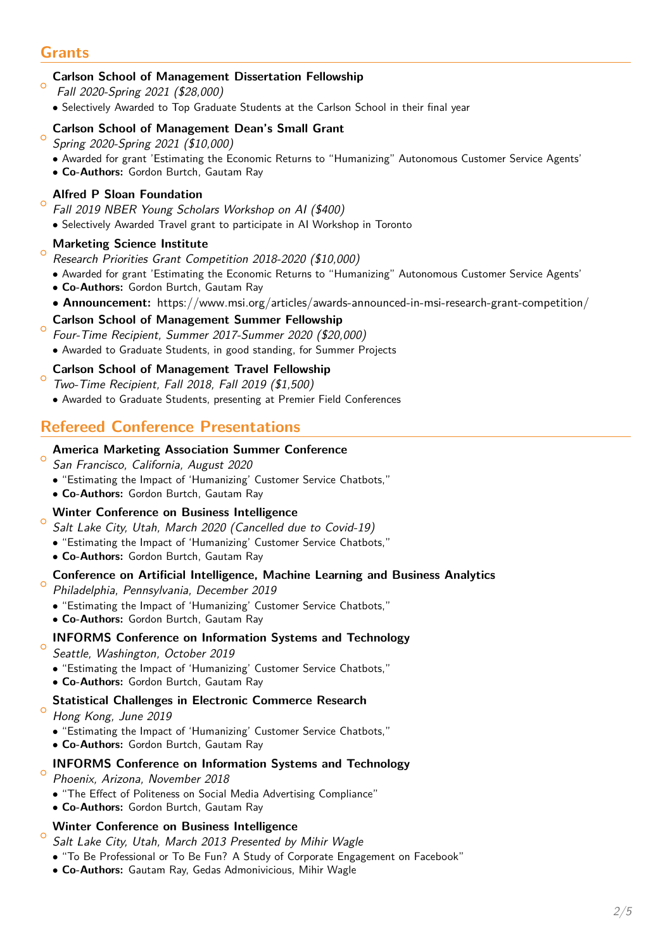# **Grants**

 $\circ$ 

 $\epsilon$ 

 $\circ$ 

 $\circ$ 

 $\circ$ 

#### $\epsilon$ **Carlson School of Management Dissertation Fellowship**

- Fall 2020-Spring 2021 (\$28,000)
- Selectively Awarded to Top Graduate Students at the Carlson School in their final year

## **Carlson School of Management Dean's Small Grant**

- $\circ$ Spring 2020-Spring 2021 (\$10,000)
	- Awarded for grant 'Estimating the Economic Returns to "Humanizing" Autonomous Customer Service Agents'
	- **Co-Authors:** Gordon Burtch, Gautam Ray

## **Alfred P Sloan Foundation**

- Fall 2019 NBER Young Scholars Workshop on AI (\$400)
- Selectively Awarded Travel grant to participate in AI Workshop in Toronto

#### $\circ$ **Marketing Science Institute**

Research Priorities Grant Competition 2018-2020 (\$10,000)

- Awarded for grant 'Estimating the Economic Returns to "Humanizing" Autonomous Customer Service Agents'
- **Co-Authors:** Gordon Burtch, Gautam Ray
- **Announcement:** https://www.msi.org/articles/awards-announced-in-msi-research-grant-competition/

#### $\circ$ **Carlson School of Management Summer Fellowship**

Four-Time Recipient, Summer 2017-Summer 2020 (\$20,000)

• Awarded to Graduate Students, in good standing, for Summer Projects

## **Carlson School of Management Travel Fellowship**

- Two-Time Recipient, Fall 2018, Fall 2019 (\$1,500)
- Awarded to Graduate Students, presenting at Premier Field Conferences

# **Refereed Conference Presentations**

## **America Marketing Association Summer Conference**

- $\circ$ San Francisco, California, August 2020
	- "Estimating the Impact of 'Humanizing' Customer Service Chatbots,"
	- **Co-Authors:** Gordon Burtch, Gautam Ray

#### $\circ$ **Winter Conference on Business Intelligence**

- Salt Lake City, Utah, March 2020 (Cancelled due to Covid-19)
- "Estimating the Impact of 'Humanizing' Customer Service Chatbots,"
- **Co-Authors:** Gordon Burtch, Gautam Ray

#### $\circ$ **Conference on Artificial Intelligence, Machine Learning and Business Analytics**

Philadelphia, Pennsylvania, December 2019

- "Estimating the Impact of 'Humanizing' Customer Service Chatbots,"
- **Co-Authors:** Gordon Burtch, Gautam Ray

## **INFORMS Conference on Information Systems and Technology**

Seattle, Washington, October 2019

- "Estimating the Impact of 'Humanizing' Customer Service Chatbots,"
- **Co-Authors:** Gordon Burtch, Gautam Ray

## **Statistical Challenges in Electronic Commerce Research**

 $\circ$ Hong Kong, June 2019

- "Estimating the Impact of 'Humanizing' Customer Service Chatbots,"
- **Co-Authors:** Gordon Burtch, Gautam Ray

## **INFORMS Conference on Information Systems and Technology**

- Phoenix, Arizona, November 2018
- "The Effect of Politeness on Social Media Advertising Compliance"
- **Co-Authors:** Gordon Burtch, Gautam Ray

## **Winter Conference on Business Intelligence**

Salt Lake City, Utah, March 2013 Presented by Mihir Wagle

- "To Be Professional or To Be Fun? A Study of Corporate Engagement on Facebook"
- **Co-Authors:** Gautam Ray, Gedas Admonivicious, Mihir Wagle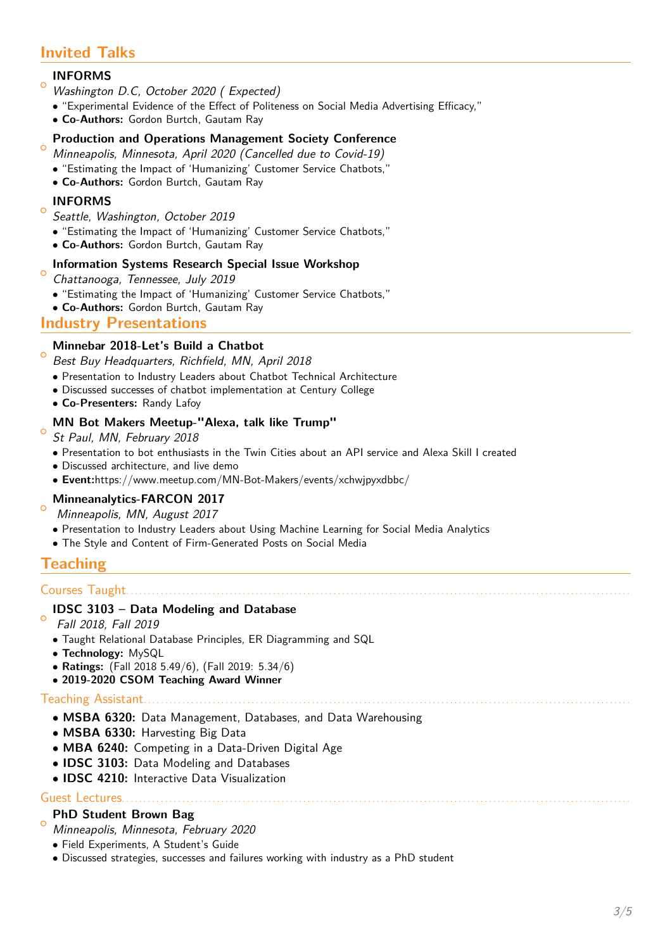# **Invited Talks**

#### $\circ$ **INFORMS**

- Washington D.C, October 2020 ( Expected)
- "Experimental Evidence of the Effect of Politeness on Social Media Advertising Efficacy,"
- **Co-Authors:** Gordon Burtch, Gautam Ray

#### $\circ$ **Production and Operations Management Society Conference**

- Minneapolis, Minnesota, April 2020 (Cancelled due to Covid-19)
- "Estimating the Impact of 'Humanizing' Customer Service Chatbots,"
- **Co-Authors:** Gordon Burtch, Gautam Ray

## **INFORMS**

 $\Omega$ 

- Seattle, Washington, October 2019
- "Estimating the Impact of 'Humanizing' Customer Service Chatbots,"
- **Co-Authors:** Gordon Burtch, Gautam Ray

#### $\circ$ **Information Systems Research Special Issue Workshop**

- Chattanooga, Tennessee, July 2019
- "Estimating the Impact of 'Humanizing' Customer Service Chatbots,"
- **Co-Authors:** Gordon Burtch, Gautam Ray

## **Industry Presentations**

## **Minnebar 2018-Let's Build a Chatbot**

- $\circ$ Best Buy Headquarters, Richfield, MN, April 2018
	- Presentation to Industry Leaders about Chatbot Technical Architecture
	- Discussed successes of chatbot implementation at Century College
	- **Co-Presenters:** Randy Lafoy

#### $\circ$ **MN Bot Makers Meetup-"Alexa, talk like Trump"**

St Paul, MN, February 2018

- Presentation to bot enthusiasts in the Twin Cities about an API service and Alexa Skill I created
- Discussed architecture, and live demo
- **Event:**https://www.meetup.com/MN-Bot-Makers/events/xchwjpyxdbbc/

#### $\circ$ **Minneanalytics-FARCON 2017**

- Minneapolis, MN, August 2017
- Presentation to Industry Leaders about Using Machine Learning for Social Media Analytics
- The Style and Content of Firm-Generated Posts on Social Media

## **Teaching**

## Courses Taught.....................

## **IDSC 3103 – Data Modeling and Database**

- $\epsilon$ Fall 2018, Fall 2019
	- Taught Relational Database Principles, ER Diagramming and SQL
	- **Technology:** MySQL
	- **Ratings:** (Fall 2018 5.49/6), (Fall 2019: 5.34/6)
	- **2019-2020 CSOM Teaching Award Winner**

#### Teaching Assistant.

- **MSBA 6320:** Data Management, Databases, and Data Warehousing
- **MSBA 6330:** Harvesting Big Data
- **MBA 6240:** Competing in a Data-Driven Digital Age
- **IDSC 3103:** Data Modeling and Databases
- **IDSC 4210:** Interactive Data Visualization

## Guest Lectures

#### $\circ$ **PhD Student Brown Bag**

- Minneapolis, Minnesota, February 2020
- Field Experiments, A Student's Guide
- Discussed strategies, successes and failures working with industry as a PhD student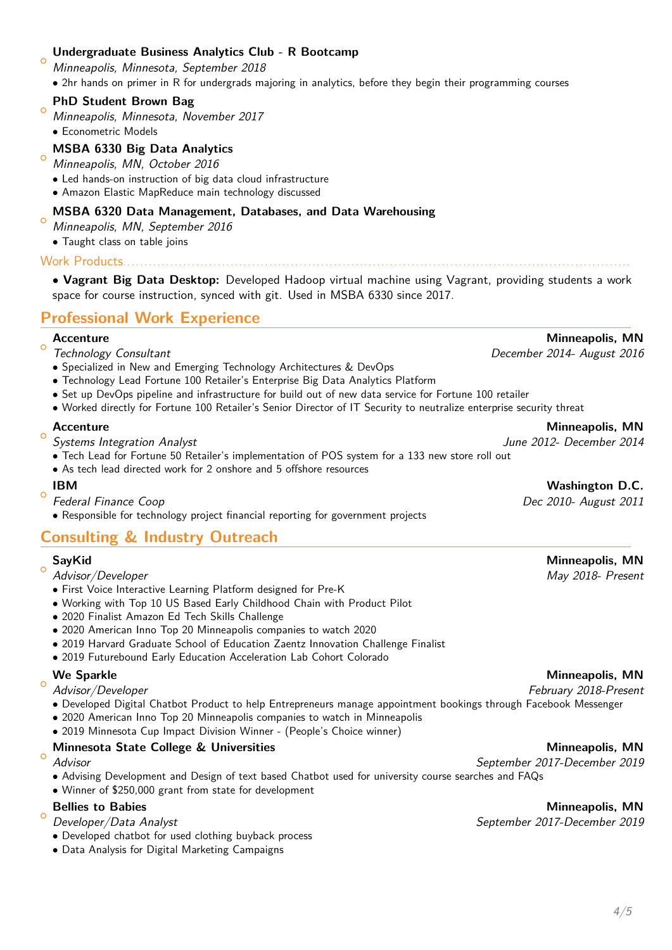## **Undergraduate Business Analytics Club - R Bootcamp**

Minneapolis, Minnesota, September 2018 • 2hr hands on primer in R for undergrads majoring in analytics, before they begin their programming courses

#### $\circ$ **PhD Student Brown Bag**

- Minneapolis, Minnesota, November 2017
- Econometric Models

 $\overline{C}$ 

**MSBA 6330 Big Data Analytics**

#### $\circ$ Minneapolis, MN, October 2016

- Led hands-on instruction of big data cloud infrastructure
- Amazon Elastic MapReduce main technology discussed

## **MSBA 6320 Data Management, Databases, and Data Warehousing**

 $\circ$ Minneapolis, MN, September 2016

• Taught class on table joins

Work Products. . . . . . . . . . . . . . . . . . . . . . . . . . . . . . . . . . . . . . . . . . . . . . . . . . . . . . . . . . . . . . . . . . . . . . . . . . . . . . . . . . . . . . . . . . . . . . . . . . . . . . . . . . . . . . . . . . . . . .

• **Vagrant Big Data Desktop:** Developed Hadoop virtual machine using Vagrant, providing students a work space for course instruction, synced with git. Used in MSBA 6330 since 2017.

# **Professional Work Experience**

# $\circ$

- 
- Specialized in New and Emerging Technology Architectures & DevOps
- Technology Lead Fortune 100 Retailer's Enterprise Big Data Analytics Platform
- Set up DevOps pipeline and infrastructure for build out of new data service for Fortune 100 retailer
- Worked directly for Fortune 100 Retailer's Senior Director of IT Security to neutralize enterprise security threat

## **Accenture Minneapolis, MN**

 $\circ$ Systems Integration Analyst **Systems Integration Analyst** Analyst June 2012- December 2014

- Tech Lead for Fortune 50 Retailer's implementation of POS system for a 133 new store roll out
- As tech lead directed work for 2 onshore and 5 offshore resources

 $\sim$ 

Federal Finance Coop **Dec 2010-** August 2011

• Responsible for technology project financial reporting for government projects

# **Consulting & Industry Outreach**

#### $\circ$ **SayKid Minneapolis, MN**

- Advisor/Developer May 2018- Present
- First Voice Interactive Learning Platform designed for Pre-K
- Working with Top 10 US Based Early Childhood Chain with Product Pilot
- 2020 Finalist Amazon Ed Tech Skills Challenge
- 2020 American Inno Top 20 Minneapolis companies to watch 2020
- 2019 Harvard Graduate School of Education Zaentz Innovation Challenge Finalist
- 2019 Futurebound Early Education Acceleration Lab Cohort Colorado

# $\circ$

- 
- Developed Digital Chatbot Product to help Entrepreneurs manage appointment bookings through Facebook Messenger
- 2020 American Inno Top 20 Minneapolis companies to watch in Minneapolis
- 2019 Minnesota Cup Impact Division Winner (People's Choice winner)

## **Minnesota State College & Universities Minneapolis, MN**

# $\circ$

- Advising Development and Design of text based Chatbot used for university course searches and FAQs
- Winner of \$250,000 grant from state for development

## **Bellies to Babies** Minneapolis, MN

#### $\circ$ Developer/Data Analyst September 2017-December 2019

- Developed chatbot for used clothing buyback process
- Data Analysis for Digital Marketing Campaigns

# **IBM IBM** *IBM Washington D.C.*

## **We Sparkle Minneapolis, MN**

## Advisor/Developer February 2018-Present

## Advisor September 2017-December 2019

**Accenture Minneapolis, MN** Technology Consultant December 2014- August 2016